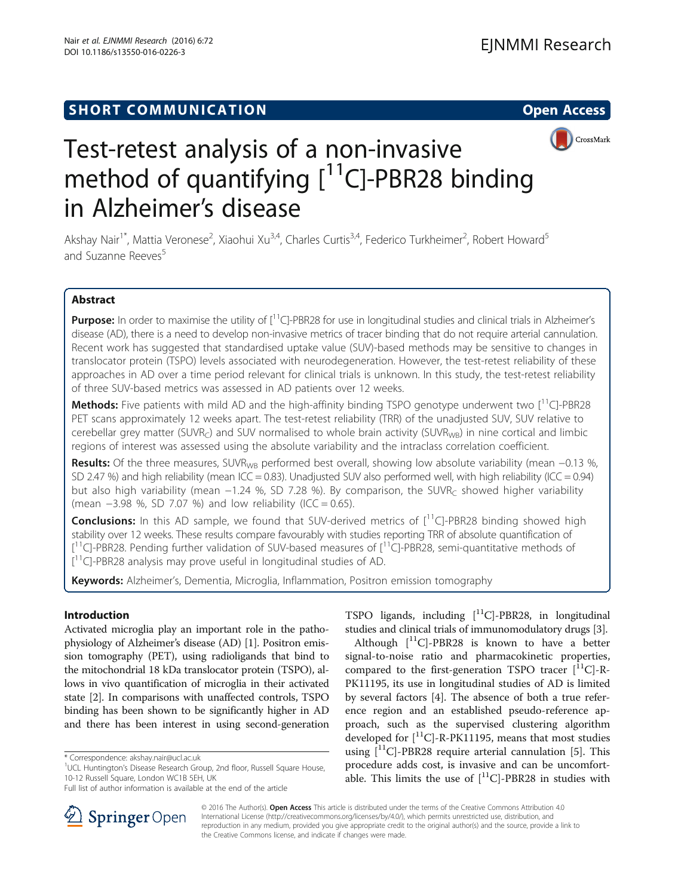



# Test-retest analysis of a non-invasive method of quantifying  $[$ <sup>11</sup>C]-PBR28 binding in Alzheimer's disease

Akshay Nair<sup>1\*</sup>, Mattia Veronese<sup>2</sup>, Xiaohui Xu<sup>3,4</sup>, Charles Curtis<sup>3,4</sup>, Federico Turkheimer<sup>2</sup>, Robert Howard<sup>5</sup> and Suzanne Reeves<sup>5</sup>

# Abstract

**Purpose:** In order to maximise the utility of  $\int_0^1 C \cdot PBR28$  for use in longitudinal studies and clinical trials in Alzheimer's disease (AD), there is a need to develop non-invasive metrics of tracer binding that do not require arterial cannulation. Recent work has suggested that standardised uptake value (SUV)-based methods may be sensitive to changes in translocator protein (TSPO) levels associated with neurodegeneration. However, the test-retest reliability of these approaches in AD over a time period relevant for clinical trials is unknown. In this study, the test-retest reliability of three SUV-based metrics was assessed in AD patients over 12 weeks.

**Methods:** Five patients with mild AD and the high-affinity binding TSPO genotype underwent two  $\int$ <sup>11</sup>C]-PBR28 PET scans approximately 12 weeks apart. The test-retest reliability (TRR) of the unadjusted SUV, SUV relative to cerebellar grey matter (SUVR<sub>C</sub>) and SUV normalised to whole brain activity (SUVR<sub>WB</sub>) in nine cortical and limbic regions of interest was assessed using the absolute variability and the intraclass correlation coefficient.

Results: Of the three measures, SUVR<sub>WB</sub> performed best overall, showing low absolute variability (mean −0.13 %, SD 2.47 %) and high reliability (mean ICC = 0.83). Unadjusted SUV also performed well, with high reliability (ICC = 0.94) but also high variability (mean −1.24 %, SD 7.28 %). By comparison, the SUVR<sub>C</sub> showed higher variability (mean −3.98 %, SD 7.07 %) and low reliability (ICC = 0.65).

**Conclusions:** In this AD sample, we found that SUV-derived metrics of  $[1^1C]$ -PBR28 binding showed high stability over 12 weeks. These results compare favourably with studies reporting TRR of absolute quantification of [<sup>11</sup>C]-PBR28. Pending further validation of SUV-based measures of [<sup>11</sup>C]-PBR28, semi-quantitative methods of [<sup>11</sup>C]-PBR28 analysis may prove useful in longitudinal studies of AD.

Keywords: Alzheimer's, Dementia, Microglia, Inflammation, Positron emission tomography

# Introduction

Activated microglia play an important role in the pathophysiology of Alzheimer's disease (AD) [\[1\]](#page-4-0). Positron emission tomography (PET), using radioligands that bind to the mitochondrial 18 kDa translocator protein (TSPO), allows in vivo quantification of microglia in their activated state [[2\]](#page-4-0). In comparisons with unaffected controls, TSPO binding has been shown to be significantly higher in AD and there has been interest in using second-generation

TSPO ligands, including  $[$ <sup>11</sup>C]-PBR28, in longitudinal studies and clinical trials of immunomodulatory drugs [\[3](#page-4-0)].

Although  $\lceil$ <sup>11</sup>C]-PBR28 is known to have a better signal-to-noise ratio and pharmacokinetic properties, compared to the first-generation TSPO tracer  $[$ <sup>11</sup>C]-R-PK11195, its use in longitudinal studies of AD is limited by several factors [[4\]](#page-4-0). The absence of both a true reference region and an established pseudo-reference approach, such as the supervised clustering algorithm developed for  $\binom{11}{1}$ -R-PK11195, means that most studies using  $[$ <sup>11</sup>C]-PBR28 require arterial cannulation [\[5](#page-4-0)]. This procedure adds cost, is invasive and can be uncomfortable. This limits the use of  $[$ <sup>11</sup>C]-PBR28 in studies with



© 2016 The Author(s). Open Access This article is distributed under the terms of the Creative Commons Attribution 4.0 International License ([http://creativecommons.org/licenses/by/4.0/\)](http://creativecommons.org/licenses/by/4.0/), which permits unrestricted use, distribution, and reproduction in any medium, provided you give appropriate credit to the original author(s) and the source, provide a link to the Creative Commons license, and indicate if changes were made.

<sup>\*</sup> Correspondence: [akshay.nair@ucl.ac.uk](mailto:akshay.nair@ucl.ac.uk) <sup>1</sup>

<sup>&</sup>lt;sup>1</sup>UCL Huntington's Disease Research Group, 2nd floor, Russell Square House, 10-12 Russell Square, London WC1B 5EH, UK

Full list of author information is available at the end of the article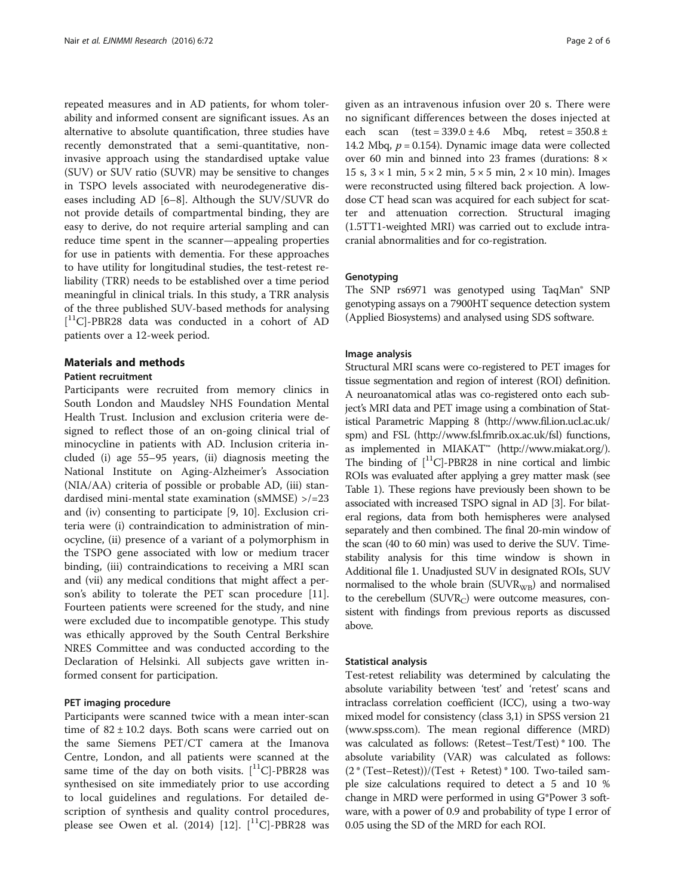repeated measures and in AD patients, for whom tolerability and informed consent are significant issues. As an alternative to absolute quantification, three studies have recently demonstrated that a semi-quantitative, noninvasive approach using the standardised uptake value (SUV) or SUV ratio (SUVR) may be sensitive to changes in TSPO levels associated with neurodegenerative diseases including AD [[6](#page-4-0)–[8](#page-4-0)]. Although the SUV/SUVR do not provide details of compartmental binding, they are easy to derive, do not require arterial sampling and can reduce time spent in the scanner—appealing properties for use in patients with dementia. For these approaches to have utility for longitudinal studies, the test-retest reliability (TRR) needs to be established over a time period meaningful in clinical trials. In this study, a TRR analysis of the three published SUV-based methods for analysing [ 11C]-PBR28 data was conducted in a cohort of AD patients over a 12-week period.

## Materials and methods

## Patient recruitment

Participants were recruited from memory clinics in South London and Maudsley NHS Foundation Mental Health Trust. Inclusion and exclusion criteria were designed to reflect those of an on-going clinical trial of minocycline in patients with AD. Inclusion criteria included (i) age 55–95 years, (ii) diagnosis meeting the National Institute on Aging-Alzheimer's Association (NIA/AA) criteria of possible or probable AD, (iii) standardised mini-mental state examination (sMMSE) >/=23 and (iv) consenting to participate [\[9](#page-5-0), [10\]](#page-5-0). Exclusion criteria were (i) contraindication to administration of minocycline, (ii) presence of a variant of a polymorphism in the TSPO gene associated with low or medium tracer binding, (iii) contraindications to receiving a MRI scan and (vii) any medical conditions that might affect a person's ability to tolerate the PET scan procedure [\[11](#page-5-0)]. Fourteen patients were screened for the study, and nine were excluded due to incompatible genotype. This study was ethically approved by the South Central Berkshire NRES Committee and was conducted according to the Declaration of Helsinki. All subjects gave written informed consent for participation.

## PET imaging procedure

Participants were scanned twice with a mean inter-scan time of  $82 \pm 10.2$  days. Both scans were carried out on the same Siemens PET/CT camera at the Imanova Centre, London, and all patients were scanned at the same time of the day on both visits.  $[$ <sup>11</sup>C]-PBR28 was synthesised on site immediately prior to use according to local guidelines and regulations. For detailed description of synthesis and quality control procedures, please see Owen et al. (2014) [\[12](#page-5-0)].  $[^{11}C]$ -PBR28 was given as an intravenous infusion over 20 s. There were no significant differences between the doses injected at each scan  $(test = 339.0 \pm 4.6 \text{ Mbq}, \text{retest} = 350.8 \pm$ 14.2 Mbq,  $p = 0.154$ ). Dynamic image data were collected over 60 min and binned into 23 frames (durations: 8 × 15 s,  $3 \times 1$  min,  $5 \times 2$  min,  $5 \times 5$  min,  $2 \times 10$  min). Images were reconstructed using filtered back projection. A lowdose CT head scan was acquired for each subject for scatter and attenuation correction. Structural imaging (1.5TT1-weighted MRI) was carried out to exclude intracranial abnormalities and for co-registration.

### **Genotyping**

The SNP rs6971 was genotyped using TaqMan® SNP genotyping assays on a 7900HT sequence detection system (Applied Biosystems) and analysed using SDS software.

## Image analysis

Structural MRI scans were co-registered to PET images for tissue segmentation and region of interest (ROI) definition. A neuroanatomical atlas was co-registered onto each subject's MRI data and PET image using a combination of Statistical Parametric Mapping 8 [\(http://www.fil.ion.ucl.ac.uk/](http://www.fil.ion.ucl.ac.uk/spm) [spm](http://www.fil.ion.ucl.ac.uk/spm)) and FSL ([http://www.fsl.fmrib.ox.ac.uk/fsl\)](http://www.fsl.fmrib.ox.ac.uk/fsl) functions, as implemented in MIAKAT™ [\(http://www.miakat.org/](http://www.miakat.org/)). The binding of  $[$ <sup>11</sup>C]-PBR28 in nine cortical and limbic ROIs was evaluated after applying a grey matter mask (see Table [1](#page-2-0)). These regions have previously been shown to be associated with increased TSPO signal in AD [\[3](#page-4-0)]. For bilateral regions, data from both hemispheres were analysed separately and then combined. The final 20-min window of the scan (40 to 60 min) was used to derive the SUV. Timestability analysis for this time window is shown in Additional file [1.](#page-4-0) Unadjusted SUV in designated ROIs, SUV normalised to the whole brain  $(SUVR_{WB})$  and normalised to the cerebellum  $(SUVR_C)$  were outcome measures, consistent with findings from previous reports as discussed above.

#### Statistical analysis

Test-retest reliability was determined by calculating the absolute variability between 'test' and 'retest' scans and intraclass correlation coefficient (ICC), using a two-way mixed model for consistency (class 3,1) in SPSS version 21 ([www.spss.com\)](http://www.spss.com). The mean regional difference (MRD) was calculated as follows: (Retest–Test/Test) \* 100. The absolute variability (VAR) was calculated as follows: (2 \* (Test–Retest))/(Test + Retest) \* 100. Two-tailed sample size calculations required to detect a 5 and 10 % change in MRD were performed in using G\*Power 3 software, with a power of 0.9 and probability of type I error of 0.05 using the SD of the MRD for each ROI.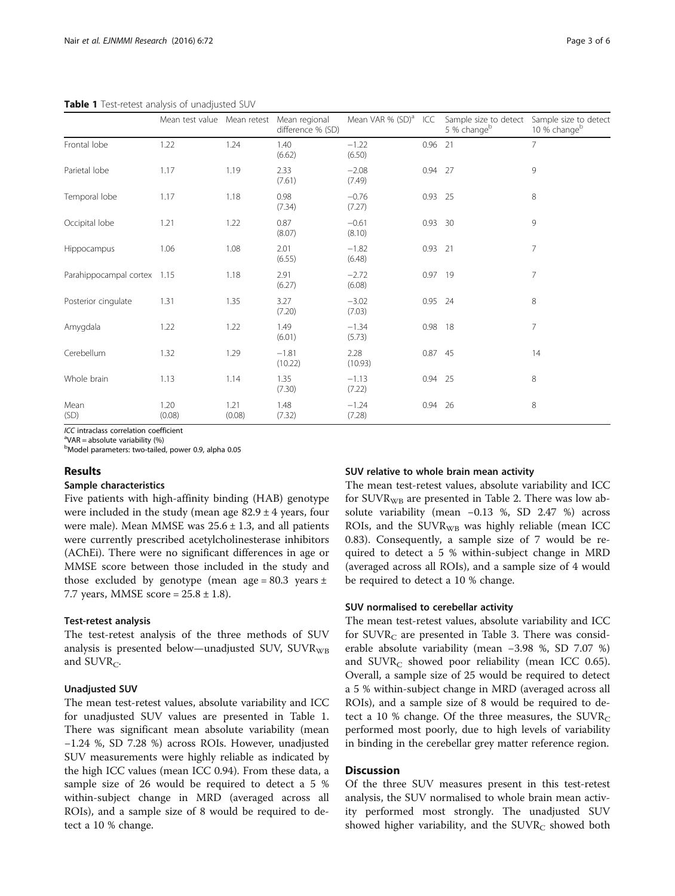<span id="page-2-0"></span>Table 1 Test-retest analysis of unadjusted SUV

|                             | Mean test value Mean retest Mean regional |                | difference % (SD)  | Mean VAR % (SD) <sup>a</sup> | ICC       | Sample size to detect<br>5 % change <sup>b</sup> | Sample size to detect<br>10 % change <sup>b</sup> |
|-----------------------------|-------------------------------------------|----------------|--------------------|------------------------------|-----------|--------------------------------------------------|---------------------------------------------------|
| Frontal lobe                | 1.22                                      | 1.24           | 1.40<br>(6.62)     | $-1.22$<br>(6.50)            | $0.96$ 21 |                                                  | $\overline{7}$                                    |
| Parietal lobe               | 1.17                                      | 1.19           | 2.33<br>(7.61)     | $-2.08$<br>(7.49)            | $0.94$ 27 |                                                  | 9                                                 |
| Temporal lobe               | 1.17                                      | 1.18           | 0.98<br>(7.34)     | $-0.76$<br>(7.27)            | $0.93$ 25 |                                                  | 8                                                 |
| Occipital lobe              | 1.21                                      | 1.22           | 0.87<br>(8.07)     | $-0.61$<br>(8.10)            | 0.93 30   |                                                  | 9                                                 |
| Hippocampus                 | 1.06                                      | 1.08           | 2.01<br>(6.55)     | $-1.82$<br>(6.48)            | 0.93 21   |                                                  | $\overline{7}$                                    |
| Parahippocampal cortex 1.15 |                                           | 1.18           | 2.91<br>(6.27)     | $-2.72$<br>(6.08)            | $0.97$ 19 |                                                  | $\overline{7}$                                    |
| Posterior cinqulate         | 1.31                                      | 1.35           | 3.27<br>(7.20)     | $-3.02$<br>(7.03)            | 0.95 24   |                                                  | 8                                                 |
| Amygdala                    | 1.22                                      | 1.22           | 1.49<br>(6.01)     | $-1.34$<br>(5.73)            | 0.98 18   |                                                  | 7                                                 |
| Cerebellum                  | 1.32                                      | 1.29           | $-1.81$<br>(10.22) | 2.28<br>(10.93)              | 0.87 45   |                                                  | 14                                                |
| Whole brain                 | 1.13                                      | 1.14           | 1.35<br>(7.30)     | $-1.13$<br>(7.22)            | 0.94 25   |                                                  | 8                                                 |
| Mean<br>(SD)                | 1.20<br>(0.08)                            | 1.21<br>(0.08) | 1.48<br>(7.32)     | $-1.24$<br>(7.28)            | 0.94 26   |                                                  | 8                                                 |

 $ICC$  intraclass correlation coefficient

 $\mathrm{PVAR}$  = absolute variability (%)

b Model parameters: two-tailed, power 0.9, alpha 0.05

## Results

#### Sample characteristics

Five patients with high-affinity binding (HAB) genotype were included in the study (mean age  $82.9 \pm 4$  years, four were male). Mean MMSE was  $25.6 \pm 1.3$ , and all patients were currently prescribed acetylcholinesterase inhibitors (AChEi). There were no significant differences in age or MMSE score between those included in the study and those excluded by genotype (mean age =  $80.3$  years  $\pm$ 7.7 years, MMSE score =  $25.8 \pm 1.8$ ).

#### Test-retest analysis

The test-retest analysis of the three methods of SUV analysis is presented below—unadjusted SUV,  $\text{SUVR}_{\text{WB}}$ and  $\text{SUVR}_{\text{C}}$ .

## Unadjusted SUV

The mean test-retest values, absolute variability and ICC for unadjusted SUV values are presented in Table 1. There was significant mean absolute variability (mean −1.24 %, SD 7.28 %) across ROIs. However, unadjusted SUV measurements were highly reliable as indicated by the high ICC values (mean ICC 0.94). From these data, a sample size of 26 would be required to detect a 5 % within-subject change in MRD (averaged across all ROIs), and a sample size of 8 would be required to detect a 10 % change.

## SUV relative to whole brain mean activity

The mean test-retest values, absolute variability and ICC for  $\text{SUVR}_{\text{WB}}$  are presented in Table [2.](#page-3-0) There was low absolute variability (mean −0.13 %, SD 2.47 %) across ROIs, and the  $SUVR_{WR}$  was highly reliable (mean ICC 0.83). Consequently, a sample size of 7 would be required to detect a 5 % within-subject change in MRD (averaged across all ROIs), and a sample size of 4 would be required to detect a 10 % change.

## SUV normalised to cerebellar activity

The mean test-retest values, absolute variability and ICC for  $\text{SUVR}_{\text{C}}$  are presented in Table [3.](#page-3-0) There was considerable absolute variability (mean −3.98 %, SD 7.07 %) and  $\text{SUVR}_{\text{C}}$  showed poor reliability (mean ICC 0.65). Overall, a sample size of 25 would be required to detect a 5 % within-subject change in MRD (averaged across all ROIs), and a sample size of 8 would be required to detect a 10 % change. Of the three measures, the  $\text{SUVR}_{\text{C}}$ performed most poorly, due to high levels of variability in binding in the cerebellar grey matter reference region.

## **Discussion**

Of the three SUV measures present in this test-retest analysis, the SUV normalised to whole brain mean activity performed most strongly. The unadjusted SUV showed higher variability, and the  $\text{SUVR}_{\text{C}}$  showed both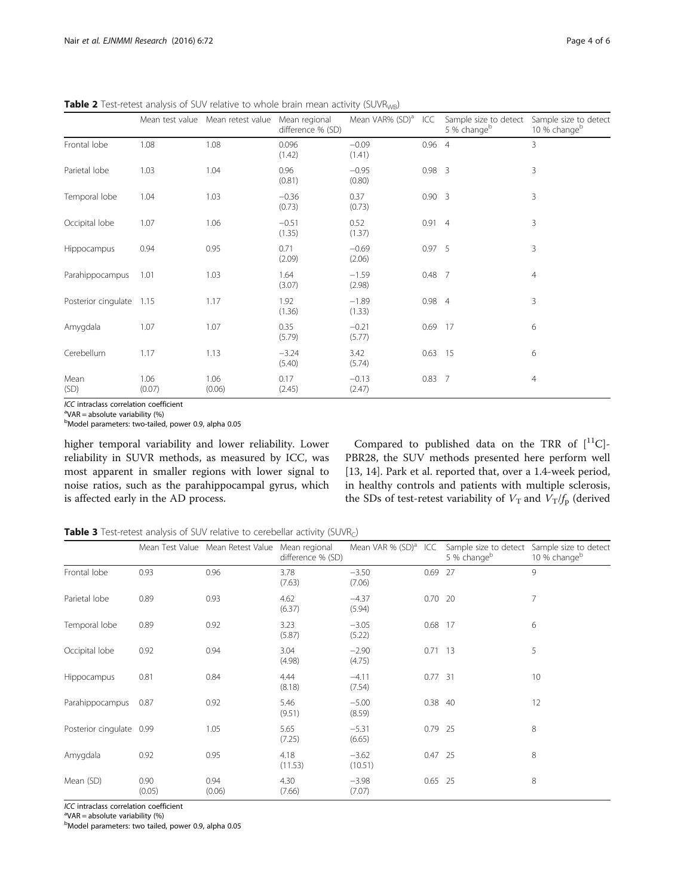|                     |      | Mean test value Mean retest value | Mean regional<br>difference % (SD) | Mean VAR% (SD) <sup>a</sup> | ICC           | Sample size to detect<br>5 % changeb | Sample size to detect<br>10 % change <sup>b</sup> |
|---------------------|------|-----------------------------------|------------------------------------|-----------------------------|---------------|--------------------------------------|---------------------------------------------------|
| Frontal lobe        | 1.08 | 1.08                              | 0.096<br>(1.42)                    | $-0.09$<br>(1.41)           | $0.96$ 4      |                                      | 3                                                 |
| Parietal lobe       | 1.03 | 1.04                              | 0.96<br>(0.81)                     | $-0.95$<br>(0.80)           | $0.98$ 3      |                                      | 3                                                 |
| Temporal lobe       | 1.04 | 1.03                              | $-0.36$<br>(0.73)                  | 0.37<br>(0.73)              | $0.90\quad 3$ |                                      | 3                                                 |
| Occipital lobe      | 1.07 | 1.06                              | $-0.51$<br>(1.35)                  | 0.52<br>(1.37)              | 0.914         |                                      | 3                                                 |
| Hippocampus         | 0.94 | 0.95                              | 0.71<br>(2.09)                     | $-0.69$<br>(2.06)           | 0.975         |                                      | 3                                                 |
| Parahippocampus     | 1.01 | 1.03                              | 1.64<br>(3.07)                     | $-1.59$<br>(2.98)           | $0.48$ 7      |                                      | 4                                                 |
| Posterior cinqulate | 1.15 | 1.17                              | 1.92<br>(1.36)                     | $-1.89$<br>(1.33)           | 0.984         |                                      | 3                                                 |
| Amygdala            | 1.07 | 1.07                              | 0.35<br>(5.79)                     | $-0.21$<br>(5.77)           | 0.69          | - 17                                 | 6                                                 |
| Cerebellum          | 1.17 | 1.13                              | $-3.24$                            | 3.42                        | $0.63$ 15     |                                      | 6                                                 |

(5.74)

−0.13 (2.47)

(5.40)

0.17 (2.45)

<span id="page-3-0"></span>Table 2 Test-retest analysis of SUV relative to whole brain mean activity (SUVR<sub>WB</sub>)

ICC intraclass correlation coefficient

VAR = absolute variability (%)

Mean (SD)

<sup>b</sup>Model parameters: two-tailed, power 0.9, alpha 0.05

1.06  $(0.07)$ 

higher temporal variability and lower reliability. Lower reliability in SUVR methods, as measured by ICC, was most apparent in smaller regions with lower signal to noise ratios, such as the parahippocampal gyrus, which is affected early in the AD process.

Compared to published data on the TRR of  $[$ <sup>11</sup>C]-PBR28, the SUV methods presented here perform well [[13, 14\]](#page-5-0). Park et al. reported that, over a 1.4-week period, in healthy controls and patients with multiple sclerosis, the SDs of test-retest variability of  $V<sub>T</sub>$  and  $V<sub>T</sub>/f<sub>p</sub>$  (derived

0.83 7 4

Table 3 Test-retest analysis of SUV relative to cerebellar activity (SUVR<sub>C</sub>)

1.06 (0.06)

|                          |                | Mean Test Value Mean Retest Value Mean regional | difference % (SD) | Mean VAR % $(SD)^a$ ICC |           | Sample size to detect<br>5 % change <sup>b</sup> | Sample size to detect<br>10 % change <sup>b</sup> |
|--------------------------|----------------|-------------------------------------------------|-------------------|-------------------------|-----------|--------------------------------------------------|---------------------------------------------------|
| Frontal lobe             | 0.93           | 0.96                                            | 3.78<br>(7.63)    | $-3.50$<br>(7.06)       | 0.69 27   |                                                  | 9                                                 |
| Parietal lobe            | 0.89           | 0.93                                            | 4.62<br>(6.37)    | $-4.37$<br>(5.94)       | $0.70$ 20 |                                                  | $\overline{7}$                                    |
| Temporal lobe            | 0.89           | 0.92                                            | 3.23<br>(5.87)    | $-3.05$<br>(5.22)       | 0.68 17   |                                                  | 6                                                 |
| Occipital lobe           | 0.92           | 0.94                                            | 3.04<br>(4.98)    | $-2.90$<br>(4.75)       | $0.71$ 13 |                                                  | 5                                                 |
| Hippocampus              | 0.81           | 0.84                                            | 4.44<br>(8.18)    | $-4.11$<br>(7.54)       | $0.77$ 31 |                                                  | 10                                                |
| Parahippocampus          | 0.87           | 0.92                                            | 5.46<br>(9.51)    | $-5.00$<br>(8.59)       | 0.38 40   |                                                  | 12                                                |
| Posterior cingulate 0.99 |                | 1.05                                            | 5.65<br>(7.25)    | $-5.31$<br>(6.65)       | $0.79$ 25 |                                                  | 8                                                 |
| Amygdala                 | 0.92           | 0.95                                            | 4.18<br>(11.53)   | $-3.62$<br>(10.51)      | $0.47$ 25 |                                                  | 8                                                 |
| Mean (SD)                | 0.90<br>(0.05) | 0.94<br>(0.06)                                  | 4.30<br>(7.66)    | $-3.98$<br>(7.07)       | $0.65$ 25 |                                                  | 8                                                 |

ICC intraclass correlation coefficient

 $\mathrm{P}^{\mathrm{a}}$ VAR = absolute variability (%)

b Model parameters: two tailed, power 0.9, alpha 0.05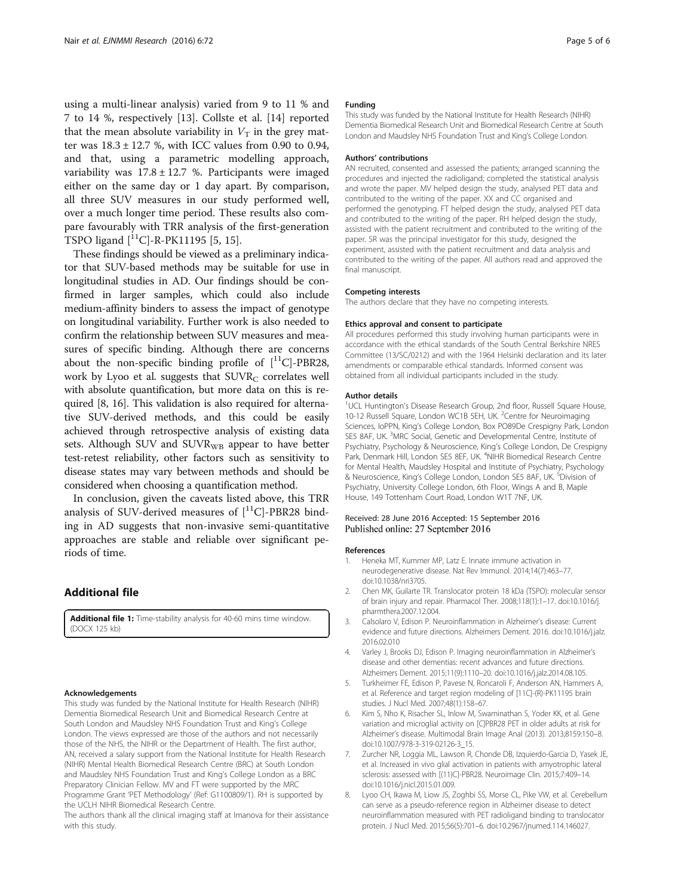<span id="page-4-0"></span>using a multi-linear analysis) varied from 9 to 11 % and 7 to 14 %, respectively [\[13](#page-5-0)]. Collste et al. [[14](#page-5-0)] reported that the mean absolute variability in  $V<sub>T</sub>$  in the grey matter was  $18.3 \pm 12.7$  %, with ICC values from 0.90 to 0.94, and that, using a parametric modelling approach, variability was  $17.8 \pm 12.7$  %. Participants were imaged either on the same day or 1 day apart. By comparison, all three SUV measures in our study performed well, over a much longer time period. These results also compare favourably with TRR analysis of the first-generation TSPO ligand  $[$ <sup>11</sup>C $]$ -R-PK11195 [5, [15](#page-5-0)].

These findings should be viewed as a preliminary indicator that SUV-based methods may be suitable for use in longitudinal studies in AD. Our findings should be confirmed in larger samples, which could also include medium-affinity binders to assess the impact of genotype on longitudinal variability. Further work is also needed to confirm the relationship between SUV measures and measures of specific binding. Although there are concerns about the non-specific binding profile of  $[{}^{11}C]$ -PBR28, work by Lyoo et al. suggests that  $\text{SUVR}_{\text{C}}$  correlates well with absolute quantification, but more data on this is required [8, [16\]](#page-5-0). This validation is also required for alternative SUV-derived methods, and this could be easily achieved through retrospective analysis of existing data sets. Although SUV and  $SUVR_{WR}$  appear to have better test-retest reliability, other factors such as sensitivity to disease states may vary between methods and should be considered when choosing a quantification method.

In conclusion, given the caveats listed above, this TRR analysis of SUV-derived measures of  $[$ <sup>11</sup>C]-PBR28 binding in AD suggests that non-invasive semi-quantitative approaches are stable and reliable over significant periods of time.

## Additional file

[Additional file 1:](dx.doi.org/10.1186/s13550-016-0226-3) Time-stability analysis for 40-60 mins time window. (DOCX 125 kb)

#### Acknowledgements

This study was funded by the National Institute for Health Research (NIHR) Dementia Biomedical Research Unit and Biomedical Research Centre at South London and Maudsley NHS Foundation Trust and King's College London. The views expressed are those of the authors and not necessarily those of the NHS, the NIHR or the Department of Health. The first author, AN, received a salary support from the National Institute for Health Research (NIHR) Mental Health Biomedical Research Centre (BRC) at South London and Maudsley NHS Foundation Trust and King's College London as a BRC Preparatory Clinician Fellow. MV and FT were supported by the MRC Programme Grant 'PET Methodology' (Ref: G1100809/1). RH is supported by the UCLH NIHR Biomedical Research Centre.

The authors thank all the clinical imaging staff at Imanova for their assistance with this study.

#### Funding

This study was funded by the National Institute for Health Research (NIHR) Dementia Biomedical Research Unit and Biomedical Research Centre at South London and Maudsley NHS Foundation Trust and King's College London.

#### Authors' contributions

AN recruited, consented and assessed the patients; arranged scanning the procedures and injected the radioligand; completed the statistical analysis and wrote the paper. MV helped design the study, analysed PET data and contributed to the writing of the paper. XX and CC organised and performed the genotyping. FT helped design the study, analysed PET data and contributed to the writing of the paper. RH helped design the study, assisted with the patient recruitment and contributed to the writing of the paper. SR was the principal investigator for this study, designed the experiment, assisted with the patient recruitment and data analysis and contributed to the writing of the paper. All authors read and approved the final manuscript.

#### Competing interests

The authors declare that they have no competing interests.

#### Ethics approval and consent to participate

All procedures performed this study involving human participants were in accordance with the ethical standards of the South Central Berkshire NRES Committee (13/SC/0212) and with the 1964 Helsinki declaration and its later amendments or comparable ethical standards. Informed consent was obtained from all individual participants included in the study.

#### Author details

<sup>1</sup>UCL Huntington's Disease Research Group, 2nd floor, Russell Square House 10-12 Russell Square, London WC1B 5EH, UK. <sup>2</sup>Centre for Neuroimaging Sciences, IoPPN, King's College London, Box PO89De Crespigny Park, London SE5 8AF, UK. <sup>3</sup>MRC Social, Genetic and Developmental Centre, Institute of Psychiatry, Psychology & Neuroscience, King's College London, De Crespigny Park, Denmark Hill, London SE5 8EF, UK. <sup>4</sup>NIHR Biomedical Research Centre for Mental Health, Maudsley Hospital and Institute of Psychiatry, Psychology & Neuroscience, King's College London, London SE5 8AF, UK. <sup>5</sup>Division of Psychiatry, University College London, 6th Floor, Wings A and B, Maple House, 149 Tottenham Court Road, London W1T 7NF, UK.

#### Received: 28 June 2016 Accepted: 15 September 2016 Published online: 27 September 2016

#### References

- 1. Heneka MT, Kummer MP, Latz E. Innate immune activation in neurodegenerative disease. Nat Rev Immunol. 2014;14(7):463–77. doi[:10.1038/nri3705](http://dx.doi.org/10.1038/nri3705).
- 2. Chen MK, Guilarte TR. Translocator protein 18 kDa (TSPO): molecular sensor of brain injury and repair. Pharmacol Ther. 2008;118(1):1–17. doi[:10.1016/j.](http://dx.doi.org/10.1016/j.pharmthera.2007.12.004) [pharmthera.2007.12.004](http://dx.doi.org/10.1016/j.pharmthera.2007.12.004).
- 3. Calsolaro V, Edison P. Neuroinflammation in Alzheimer's disease: Current evidence and future directions. Alzheimers Dement. 2016. doi:[10.1016/j.jalz.](http://dx.doi.org/10.1016/j.jalz.2016.02.010) [2016.02.010](http://dx.doi.org/10.1016/j.jalz.2016.02.010)
- 4. Varley J, Brooks DJ, Edison P. Imaging neuroinflammation in Alzheimer's disease and other dementias: recent advances and future directions. Alzheimers Dement. 2015;11(9):1110–20. doi:[10.1016/j.jalz.2014.08.105.](http://dx.doi.org/10.1016/j.jalz.2014.08.105)
- 5. Turkheimer FE, Edison P, Pavese N, Roncaroli F, Anderson AN, Hammers A, et al. Reference and target region modeling of [11C]-(R)-PK11195 brain studies. J Nucl Med. 2007;48(1):158–67.
- 6. Kim S, Nho K, Risacher SL, Inlow M, Swaminathan S, Yoder KK, et al. Gene variation and microglial activity on [C]PBR28 PET in older adults at risk for Alzheimer's disease. Multimodal Brain Image Anal (2013). 2013;8159:150–8. doi[:10.1007/978-3-319-02126-3\\_15](http://dx.doi.org/10.1007/978-3-319-02126-3_15).
- 7. Zurcher NR, Loggia ML, Lawson R, Chonde DB, Izquierdo-Garcia D, Yasek JE, et al. Increased in vivo glial activation in patients with amyotrophic lateral sclerosis: assessed with [(11)C]-PBR28. Neuroimage Clin. 2015;7:409–14. doi[:10.1016/j.nicl.2015.01.009.](http://dx.doi.org/10.1016/j.nicl.2015.01.009)
- 8. Lyoo CH, Ikawa M, Liow JS, Zoghbi SS, Morse CL, Pike VW, et al. Cerebellum can serve as a pseudo-reference region in Alzheimer disease to detect neuroinflammation measured with PET radioligand binding to translocator protein. J Nucl Med. 2015;56(5):701–6. doi[:10.2967/jnumed.114.146027](http://dx.doi.org/10.2967/jnumed.114.146027).